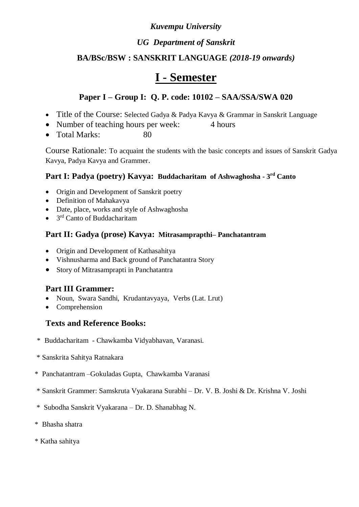### *Kuvempu University*

### *UG Department of Sanskrit*

### **BA/BSc/BSW : SANSKRIT LANGUAGE** *(2018-19 onwards)*

## **I - Semester**

### **Paper I – Group I: Q. P. code: 10102 – SAA/SSA/SWA 020**

- Title of the Course: Selected Gadya & Padya Kavya & Grammar in Sanskrit Language
- Number of teaching hours per week: 4 hours
- Total Marks: 80

Course Rationale: To acquaint the students with the basic concepts and issues of Sanskrit Gadya Kavya, Padya Kavya and Grammer.

#### **Part I: Padya (poetry) Kavya: Buddacharitam of Ashwaghosha - 3 rd Canto**

- Origin and Development of Sanskrit poetry
- Definition of Mahakavya
- Date, place, works and style of Ashwaghosha
- $\bullet$  3<sup>rd</sup> Canto of Buddacharitam

#### **Part II: Gadya (prose) Kavya: Mitrasamprapthi– Panchatantram**

- Origin and Development of Kathasahitya
- Vishnusharma and Back ground of Panchatantra Story
- Story of Mitrasamprapti in Panchatantra

#### **Part III Grammer:**

- Noun, Swara Sandhi, Krudantavyaya, Verbs (Lat. Lrut)
- Comprehension

- \* Buddacharitam Chawkamba Vidyabhavan, Varanasi.
- \* Sanskrita Sahitya Ratnakara
- \* Panchatantram –Gokuladas Gupta, Chawkamba Varanasi
- \* Sanskrit Grammer: Samskruta Vyakarana Surabhi Dr. V. B. Joshi & Dr. Krishna V. Joshi
- \* Subodha Sanskrit Vyakarana Dr. D. Shanabhag N.
- \* Bhasha shatra
- \* Katha sahitya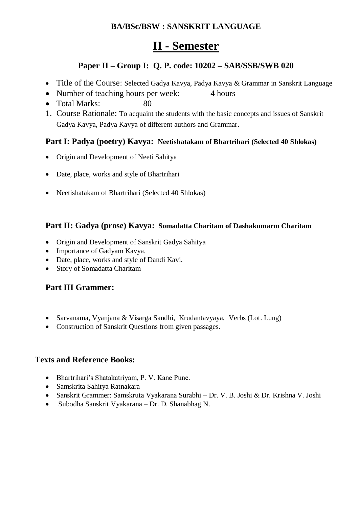### **BA/BSc/BSW : SANSKRIT LANGUAGE**

## **II - Semester**

### **Paper II – Group I: Q. P. code: 10202 – SAB/SSB/SWB 020**

- Title of the Course: Selected Gadya Kavya, Padya Kavya & Grammar in Sanskrit Language
- Number of teaching hours per week: 4 hours
- $\bullet$  Total Marks:
- 1. Course Rationale: To acquaint the students with the basic concepts and issues of Sanskrit Gadya Kavya, Padya Kavya of different authors and Grammar.

#### **Part I: Padya (poetry) Kavya: Neetishatakam of Bhartrihari (Selected 40 Shlokas)**

- Origin and Development of Neeti Sahitya
- Date, place, works and style of Bhartrihari
- Neetishatakam of Bhartrihari (Selected 40 Shlokas)

#### **Part II: Gadya (prose) Kavya: Somadatta Charitam of Dashakumarm Charitam**

- Origin and Development of Sanskrit Gadya Sahitya
- Importance of Gadyam Kavya.
- Date, place, works and style of Dandi Kavi.
- Story of Somadatta Charitam

#### **Part III Grammer:**

- Sarvanama, Vyanjana & Visarga Sandhi, Krudantavyaya, Verbs (Lot. Lung)
- Construction of Sanskrit Questions from given passages.

- Bhartrihari's Shatakatriyam, P. V. Kane Pune.
- Samskrita Sahitya Ratnakara
- Sanskrit Grammer: Samskruta Vyakarana Surabhi Dr. V. B. Joshi & Dr. Krishna V. Joshi
- Subodha Sanskrit Vyakarana Dr. D. Shanabhag N.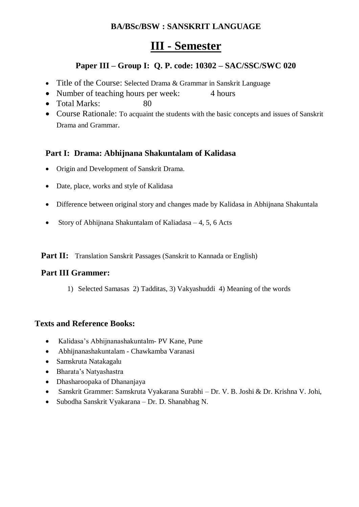### **BA/BSc/BSW : SANSKRIT LANGUAGE**

## **III - Semester**

### **Paper III – Group I: Q. P. code: 10302 – SAC/SSC/SWC 020**

- Title of the Course: Selected Drama & Grammar in Sanskrit Language
- Number of teaching hours per week: 4 hours
- Total Marks: 80
- Course Rationale: To acquaint the students with the basic concepts and issues of Sanskrit Drama and Grammar.

### **Part I: Drama: Abhijnana Shakuntalam of Kalidasa**

- Origin and Development of Sanskrit Drama.
- Date, place, works and style of Kalidasa
- Difference between original story and changes made by Kalidasa in Abhijnana Shakuntala
- Story of Abhijnana Shakuntalam of Kaliadasa  $-4$ , 5, 6 Acts

Part II: Translation Sanskrit Passages (Sanskrit to Kannada or English)

#### **Part III Grammer:**

1) Selected Samasas 2) Tadditas, 3) Vakyashuddi 4) Meaning of the words

- Kalidasa's Abhijnanashakuntalm- PV Kane, Pune
- Abhijnanashakuntalam Chawkamba Varanasi
- Samskruta Natakagalu
- Bharata's Natyashastra
- Dhasharoopaka of Dhananjaya
- Sanskrit Grammer: Samskruta Vyakarana Surabhi Dr. V. B. Joshi & Dr. Krishna V. Johi,
- Subodha Sanskrit Vyakarana Dr. D. Shanabhag N.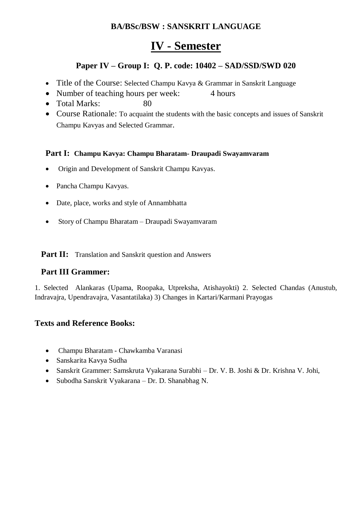### **BA/BSc/BSW : SANSKRIT LANGUAGE**

## **IV - Semester**

### **Paper IV – Group I: Q. P. code: 10402 – SAD/SSD/SWD 020**

- Title of the Course: Selected Champu Kavya & Grammar in Sanskrit Language
- Number of teaching hours per week: 4 hours
- Total Marks: 80
- Course Rationale: To acquaint the students with the basic concepts and issues of Sanskrit Champu Kavyas and Selected Grammar.

#### **Part I: Champu Kavya: Champu Bharatam- Draupadi Swayamvaram**

- Origin and Development of Sanskrit Champu Kavyas.
- Pancha Champu Kavyas.
- Date, place, works and style of Annambhatta
- Story of Champu Bharatam Draupadi Swayamvaram

Part II: Translation and Sanskrit question and Answers

#### **Part III Grammer:**

1. Selected Alankaras (Upama, Roopaka, Utpreksha, Atishayokti) 2. Selected Chandas (Anustub, Indravajra, Upendravajra, Vasantatilaka) 3) Changes in Kartari/Karmani Prayogas

- Champu Bharatam Chawkamba Varanasi
- Sanskarita Kavya Sudha
- Sanskrit Grammer: Samskruta Vyakarana Surabhi Dr. V. B. Joshi & Dr. Krishna V. Johi,
- Subodha Sanskrit Vyakarana Dr. D. Shanabhag N.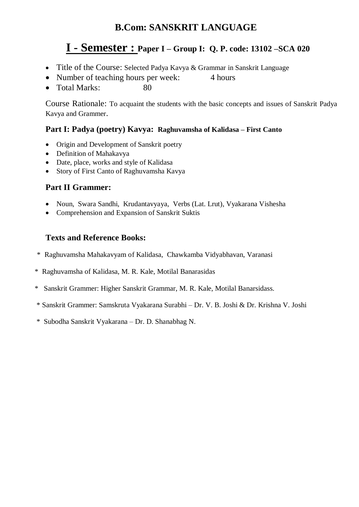## **B.Com: SANSKRIT LANGUAGE**

## **I - Semester : Paper I – Group I: Q. P. code: 13102 –SCA 020**

- Title of the Course: Selected Padya Kavya & Grammar in Sanskrit Language
- Number of teaching hours per week: 4 hours
- Total Marks: 80

Course Rationale: To acquaint the students with the basic concepts and issues of Sanskrit Padya Kavya and Grammer.

#### **Part I: Padya (poetry) Kavya: Raghuvamsha of Kalidasa – First Canto**

- Origin and Development of Sanskrit poetry
- Definition of Mahakavya
- Date, place, works and style of Kalidasa
- Story of First Canto of Raghuvamsha Kavya

#### **Part II Grammer:**

- Noun, Swara Sandhi, Krudantavyaya, Verbs (Lat. Lrut), Vyakarana Vishesha
- Comprehension and Expansion of Sanskrit Suktis

- \* Raghuvamsha Mahakavyam of Kalidasa, Chawkamba Vidyabhavan, Varanasi
- \* Raghuvamsha of Kalidasa, M. R. Kale, Motilal Banarasidas
- \* Sanskrit Grammer: Higher Sanskrit Grammar, M. R. Kale, Motilal Banarsidass.
- \* Sanskrit Grammer: Samskruta Vyakarana Surabhi Dr. V. B. Joshi & Dr. Krishna V. Joshi
- \* Subodha Sanskrit Vyakarana Dr. D. Shanabhag N.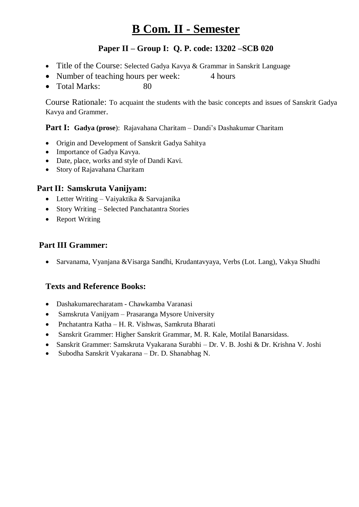# **B Com. II - Semester**

### **Paper II – Group I: Q. P. code: 13202 –SCB 020**

- Title of the Course: Selected Gadya Kavya & Grammar in Sanskrit Language
- Number of teaching hours per week: 4 hours
- Total Marks: 80

Course Rationale: To acquaint the students with the basic concepts and issues of Sanskrit Gadya Kavya and Grammer.

#### **Part I: Gadya (prose**): Rajavahana Charitam – Dandi's Dashakumar Charitam

- Origin and Development of Sanskrit Gadya Sahitya
- Importance of Gadya Kavya.
- Date, place, works and style of Dandi Kavi.
- Story of Rajavahana Charitam

#### **Part II: Samskruta Vanijyam:**

- Letter Writing Vaiyaktika & Sarvajanika
- Story Writing Selected Panchatantra Stories
- Report Writing

### **Part III Grammer:**

Sarvanama, Vyanjana &Visarga Sandhi, Krudantavyaya, Verbs (Lot. Lang), Vakya Shudhi

- Dashakumarecharatam Chawkamba Varanasi
- Samskruta Vanijyam Prasaranga Mysore University
- Pnchatantra Katha H. R. Vishwas, Samkruta Bharati
- Sanskrit Grammer: Higher Sanskrit Grammar, M. R. Kale, Motilal Banarsidass.
- Sanskrit Grammer: Samskruta Vyakarana Surabhi Dr. V. B. Joshi & Dr. Krishna V. Joshi
- Subodha Sanskrit Vyakarana Dr. D. Shanabhag N.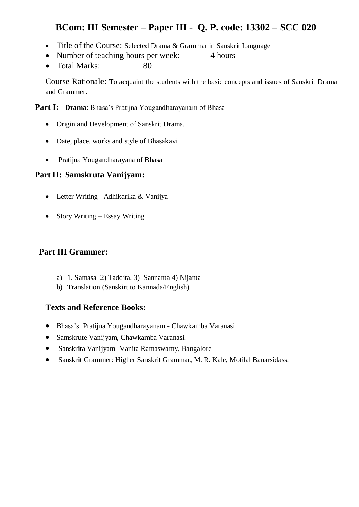## **BCom: III Semester – Paper III - Q. P. code: 13302 – SCC 020**

- Title of the Course: Selected Drama & Grammar in Sanskrit Language
- Number of teaching hours per week: 4 hours
- Total Marks: 80

Course Rationale: To acquaint the students with the basic concepts and issues of Sanskrit Drama and Grammer.

**Part I: Drama**: Bhasa's Pratijna Yougandharayanam of Bhasa

- Origin and Development of Sanskrit Drama.
- Date, place, works and style of Bhasakavi
- Pratijna Yougandharayana of Bhasa

#### **Part II: Samskruta Vanijyam:**

- Letter Writing –Adhikarika & Vanijya
- Story Writing Essay Writing

#### **Part III Grammer:**

- a) 1. Samasa 2) Taddita, 3) Sannanta 4) Nijanta
- b) Translation (Sanskirt to Kannada/English)

- Bhasa's Pratijna Yougandharayanam Chawkamba Varanasi
- Samskrute Vanijyam, Chawkamba Varanasi.
- Sanskrita Vanijyam -Vanita Ramaswamy, Bangalore
- Sanskrit Grammer: Higher Sanskrit Grammar, M. R. Kale, Motilal Banarsidass.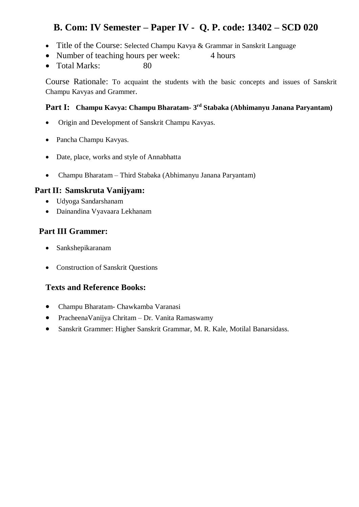## **B. Com: IV Semester – Paper IV - Q. P. code: 13402 – SCD 020**

- Title of the Course: Selected Champu Kavya & Grammar in Sanskrit Language
- Number of teaching hours per week: 4 hours
- Total Marks: 80

Course Rationale: To acquaint the students with the basic concepts and issues of Sanskrit Champu Kavyas and Grammer.

#### **Part I: Champu Kavya: Champu Bharatam- 3 rd Stabaka (Abhimanyu Janana Paryantam)**

- Origin and Development of Sanskrit Champu Kavyas.
- Pancha Champu Kavyas.
- Date, place, works and style of Annabhatta
- Champu Bharatam Third Stabaka (Abhimanyu Janana Paryantam)

#### **Part II: Samskruta Vanijyam:**

- Udyoga Sandarshanam
- Dainandina Vyavaara Lekhanam

### **Part III Grammer:**

- Sankshepikaranam
- Construction of Sanskrit Questions

- Champu Bharatam- Chawkamba Varanasi
- PracheenaVanijya Chritam Dr. Vanita Ramaswamy
- Sanskrit Grammer: Higher Sanskrit Grammar, M. R. Kale, Motilal Banarsidass.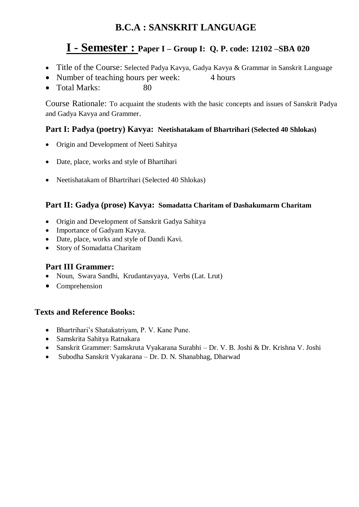## **B.C.A : SANSKRIT LANGUAGE**

## **I - Semester : Paper I – Group I: Q. P. code: 12102 –SBA 020**

- Title of the Course: Selected Padya Kavya, Gadya Kavya & Grammar in Sanskrit Language
- Number of teaching hours per week: 4 hours
- Total Marks: 80

Course Rationale: To acquaint the students with the basic concepts and issues of Sanskrit Padya and Gadya Kavya and Grammer.

### **Part I: Padya (poetry) Kavya: Neetishatakam of Bhartrihari (Selected 40 Shlokas)**

- Origin and Development of Neeti Sahitya
- Date, place, works and style of Bhartihari
- Neetishatakam of Bhartrihari (Selected 40 Shlokas)

#### **Part II: Gadya (prose) Kavya: Somadatta Charitam of Dashakumarm Charitam**

- Origin and Development of Sanskrit Gadya Sahitya
- Importance of Gadyam Kavya.
- Date, place, works and style of Dandi Kavi.
- Story of Somadatta Charitam

#### **Part III Grammer:**

- Noun, Swara Sandhi, Krudantavyaya, Verbs (Lat. Lrut)
- Comprehension

- Bhartrihari's Shatakatriyam, P. V. Kane Pune.
- Samskrita Sahitya Ratnakara
- Sanskrit Grammer: Samskruta Vyakarana Surabhi Dr. V. B. Joshi & Dr. Krishna V. Joshi
- Subodha Sanskrit Vyakarana Dr. D. N. Shanabhag, Dharwad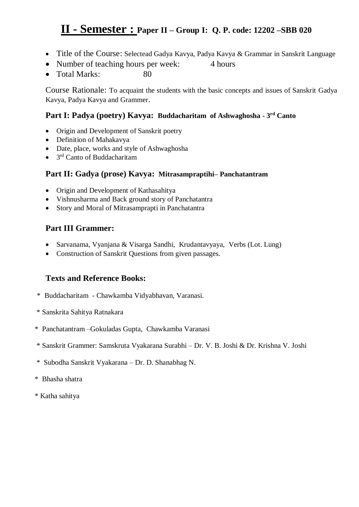## **II - Semester : Paper II – Group I: Q. P. code: 12202 –SBB <sup>020</sup>**

- Title of the Course: Selectead Gadya Kavya, Padya Kavya & Grammar in Sanskrit Language
- Number of teaching hours per week: 4 hours
- $\bullet$  Total Marks:

Course Rationale: To acquaint the students with the basic concepts and issues of Sanskrit Gadya Kavya, Padya Kavya and Grammer.

#### **Part I: Padya (poetry) Kavya: Buddacharitam of Ashwaghosha - 3 rd Canto**

- Origin and Development of Sanskrit poetry
- Definition of Mahakavya
- Date, place, works and style of Ashwaghosha
- $\bullet$ 3<sup>rd</sup> Canto of Buddacharitam

#### **Part II: Gadya (prose) Kavya: Mitrasampraptihi– Panchatantram**

- Origin and Development of Kathasahitya
- Vishnusharma and Back ground story of Panchatantra
- Story and Moral of Mitrasamprapti in Panchatantra

#### **Part III Grammer:**

- Sarvanama, Vyanjana & Visarga Sandhi, Krudantavyaya, Verbs (Lot. Lung)
- Construction of Sanskrit Questions from given passages.

- \* Buddacharitam Chawkamba Vidyabhavan, Varanasi.
- \* Sanskrita Sahitya Ratnakara
- \* Panchatantram –Gokuladas Gupta, Chawkamba Varanasi
- \* Sanskrit Grammer: Samskruta Vyakarana Surabhi Dr. V. B. Joshi & Dr. Krishna V. Joshi
- \* Subodha Sanskrit Vyakarana Dr. D. Shanabhag N.
- \* Bhasha shatra
- \* Katha sahitya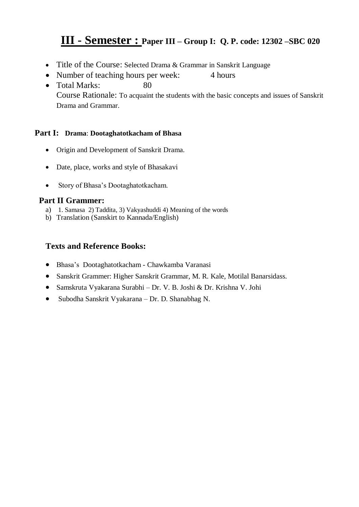## **III - Semester : Paper III – Group I: Q. P. code: 12302 –SBC <sup>020</sup>**

- Title of the Course: Selected Drama & Grammar in Sanskrit Language
- Number of teaching hours per week: 4 hours
- Total Marks: 80 Course Rationale: To acquaint the students with the basic concepts and issues of Sanskrit Drama and Grammar.

#### **Part I: Drama**: **Dootaghatotkacham of Bhasa**

- Origin and Development of Sanskrit Drama.
- Date, place, works and style of Bhasakavi
- Story of Bhasa's Dootaghatotkacham.

#### **Part II Grammer:**

- a) 1. Samasa 2) Taddita, 3) Vakyashuddi 4) Meaning of the words
- b) Translation (Sanskirt to Kannada/English)

- Bhasa's Dootaghatotkacham Chawkamba Varanasi
- Sanskrit Grammer: Higher Sanskrit Grammar, M. R. Kale, Motilal Banarsidass.
- Samskruta Vyakarana Surabhi Dr. V. B. Joshi & Dr. Krishna V. Johi
- Subodha Sanskrit Vyakarana Dr. D. Shanabhag N.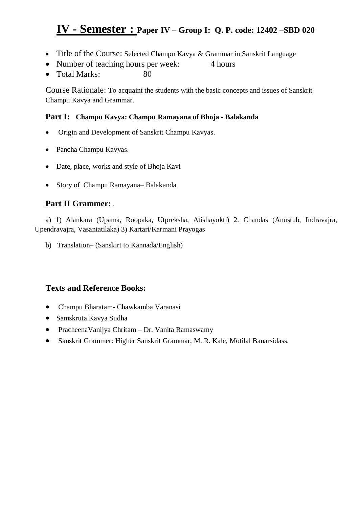## **IV - Semester : Paper IV – Group I: Q. P. code: 12402 –SBD <sup>020</sup>**

- Title of the Course: Selected Champu Kavya & Grammar in Sanskrit Language
- Number of teaching hours per week: 4 hours
- Total Marks: 80

Course Rationale: To acquaint the students with the basic concepts and issues of Sanskrit Champu Kavya and Grammar.

#### **Part I: Champu Kavya: Champu Ramayana of Bhoja - Balakanda**

- Origin and Development of Sanskrit Champu Kavyas.
- Pancha Champu Kavyas.
- Date, place, works and style of Bhoja Kavi
- Story of Champu Ramayana– Balakanda

### **Part II Grammer:** .

a) 1) Alankara (Upama, Roopaka, Utpreksha, Atishayokti) 2. Chandas (Anustub, Indravajra, Upendravajra, Vasantatilaka) 3) Kartari/Karmani Prayogas

b) Translation– (Sanskirt to Kannada/English)

- Champu Bharatam- Chawkamba Varanasi
- Samskruta Kavya Sudha
- PracheenaVanijya Chritam Dr. Vanita Ramaswamy
- Sanskrit Grammer: Higher Sanskrit Grammar, M. R. Kale, Motilal Banarsidass.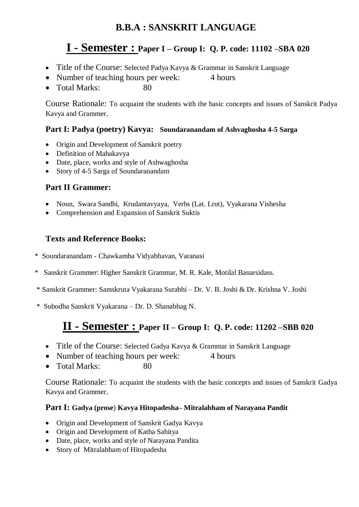## **B.B.A : SANSKRIT LANGUAGE**

## **I - Semester : Paper I – Group I: Q. P. code: 11102 –SBA 020**

- Title of the Course: Selected Padya Kavya & Grammar in Sanskrit Language
- Number of teaching hours per week: 4 hours
- Total Marks: 80

Course Rationale: To acquaint the students with the basic concepts and issues of Sanskrit Padya Kavya and Grammer.

#### **Part I: Padya (poetry) Kavya: Soundaranandam of Ashvaghosha 4-5 Sarga**

- Origin and Development of Sanskrit poetry
- Definition of Mahakavya
- Date, place, works and style of Ashwaghosha
- Story of 4-5 Sarga of Soundaranandam

#### **Part II Grammer:**

- Noun, Swara Sandhi, Krudantavyaya, Verbs (Lat. Lrut), Vyakarana Vishesha
- Comprehension and Expansion of Sanskrit Suktis

#### **Texts and Reference Books:**

- \* Soundaranandam Chawkamba Vidyabhavan, Varanasi
- \* Sanskrit Grammer: Higher Sanskrit Grammar, M. R. Kale, Motilal Banarsidass.
- \* Sanskrit Grammer: Samskruta Vyakarana Surabhi Dr. V. B. Joshi & Dr. Krishna V. Joshi
- \* Subodha Sanskrit Vyakarana Dr. D. Shanabhag N.

## **II - Semester : Paper II – Group I: Q. P. code: 11202 –SBB 020**

- Title of the Course: Selected Gadya Kavya & Grammar in Sanskrit Language
- Number of teaching hours per week: 4 hours
- Total Marks: 80

Course Rationale: To acquaint the students with the basic concepts and issues of Sanskrit Gadya Kavya and Grammer.

#### **Part I: Gadya (prose**) **Kavya Hitopadesha– Mitralabham of Narayana Pandit**

- Origin and Development of Sanskrit Gadya Kavya
- Origin and Development of Katha Sahitya
- Date, place, works and style of Narayana Pandita
- Story of Mitralabham of Hitopadesha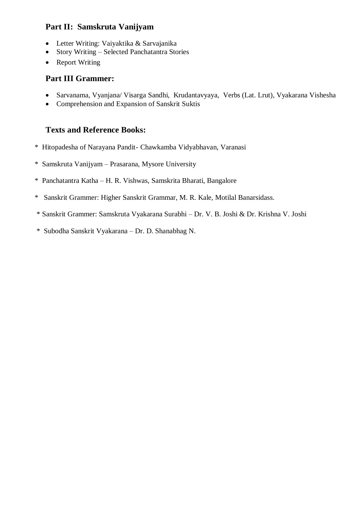### **Part II: Samskruta Vanijyam**

- Letter Writing: Vaiyaktika & Sarvajanika
- Story Writing Selected Panchatantra Stories
- Report Writing

#### **Part III Grammer:**

- Sarvanama, Vyanjana/ Visarga Sandhi, Krudantavyaya, Verbs (Lat. Lrut), Vyakarana Vishesha
- Comprehension and Expansion of Sanskrit Suktis

- \* Hitopadesha of Narayana Pandit- Chawkamba Vidyabhavan, Varanasi
- \* Samskruta Vanijyam Prasarana, Mysore University
- \* Panchatantra Katha H. R. Vishwas, Samskrita Bharati, Bangalore
- \* Sanskrit Grammer: Higher Sanskrit Grammar, M. R. Kale, Motilal Banarsidass.
- \* Sanskrit Grammer: Samskruta Vyakarana Surabhi Dr. V. B. Joshi & Dr. Krishna V. Joshi
- \* Subodha Sanskrit Vyakarana Dr. D. Shanabhag N.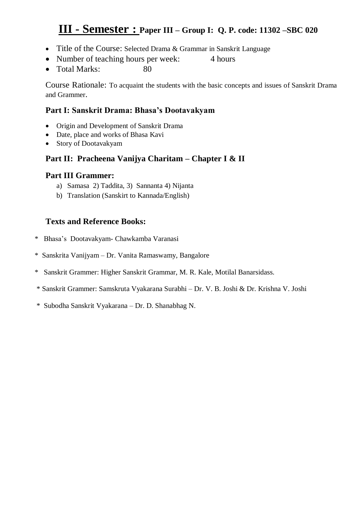## **III - Semester : Paper III – Group I: Q. P. code: 11302 –SBC 020**

- Title of the Course: Selected Drama & Grammar in Sanskrit Language
- Number of teaching hours per week: 4 hours
- Total Marks: 80

Course Rationale: To acquaint the students with the basic concepts and issues of Sanskrit Drama and Grammer.

#### **Part I: Sanskrit Drama: Bhasa's Dootavakyam**

- Origin and Development of Sanskrit Drama
- Date, place and works of Bhasa Kavi
- Story of Dootavakyam

### **Part II: Pracheena Vanijya Charitam – Chapter I & II**

#### **Part III Grammer:**

- a) Samasa 2) Taddita, 3) Sannanta 4) Nijanta
- b) Translation (Sanskirt to Kannada/English)

- \* Bhasa's Dootavakyam- Chawkamba Varanasi
- \* Sanskrita Vanijyam Dr. Vanita Ramaswamy, Bangalore
- \* Sanskrit Grammer: Higher Sanskrit Grammar, M. R. Kale, Motilal Banarsidass.
- \* Sanskrit Grammer: Samskruta Vyakarana Surabhi Dr. V. B. Joshi & Dr. Krishna V. Joshi
- \* Subodha Sanskrit Vyakarana Dr. D. Shanabhag N.